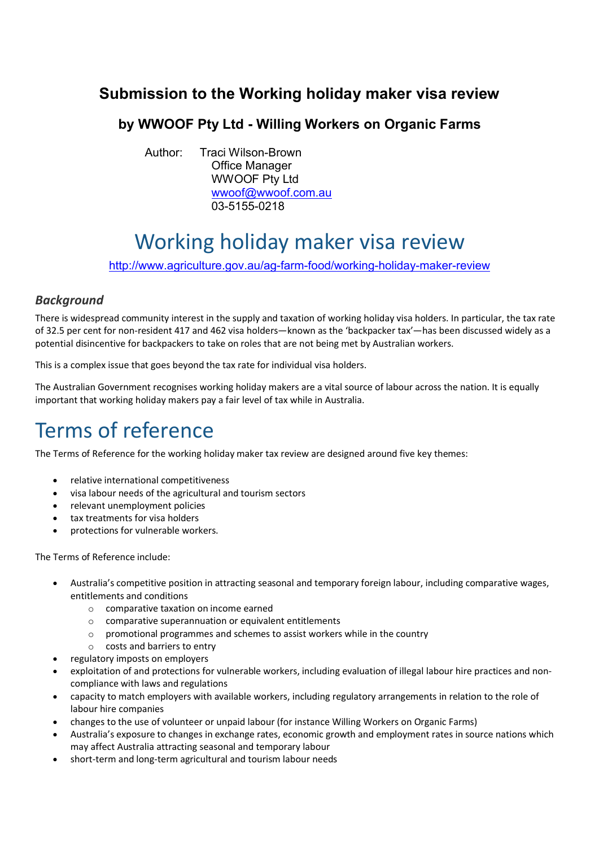# **Submission to the Working holiday maker visa review**

## **by WWOOF Pty Ltd - Willing Workers on Organic Farms**

Author: Traci Wilson-Brown Office Manager WWOOF Pty Ltd wwoof@wwoof.com.au 03-5155-0218

# Working holiday maker visa review

http://www.agriculture.gov.au/ag-farm-food/working-holiday-maker-review

### *Background*

There is widespread community interest in the supply and taxation of working holiday visa holders. In particular, the tax rate of 32.5 per cent for non-resident 417 and 462 visa holders—known as the 'backpacker tax'—has been discussed widely as a potential disincentive for backpackers to take on roles that are not being met by Australian workers.

This is a complex issue that goes beyond the tax rate for individual visa holders.

The Australian Government recognises working holiday makers are a vital source of labour across the nation. It is equally important that working holiday makers pay a fair level of tax while in Australia.

# Terms of reference

The Terms of Reference for the working holiday maker tax review are designed around five key themes:

- relative international competitiveness
- visa labour needs of the agricultural and tourism sectors
- relevant unemployment policies
- tax treatments for visa holders
- protections for vulnerable workers.

The Terms of Reference include:

- Australia's competitive position in attracting seasonal and temporary foreign labour, including comparative wages, entitlements and conditions
	- o comparative taxation on income earned
	- o comparative superannuation or equivalent entitlements
	- o promotional programmes and schemes to assist workers while in the country
	- o costs and barriers to entry
- regulatory imposts on employers
- exploitation of and protections for vulnerable workers, including evaluation of illegal labour hire practices and noncompliance with laws and regulations
- capacity to match employers with available workers, including regulatory arrangements in relation to the role of labour hire companies
- changes to the use of volunteer or unpaid labour (for instance Willing Workers on Organic Farms)
- Australia's exposure to changes in exchange rates, economic growth and employment rates in source nations which may affect Australia attracting seasonal and temporary labour
- short-term and long-term agricultural and tourism labour needs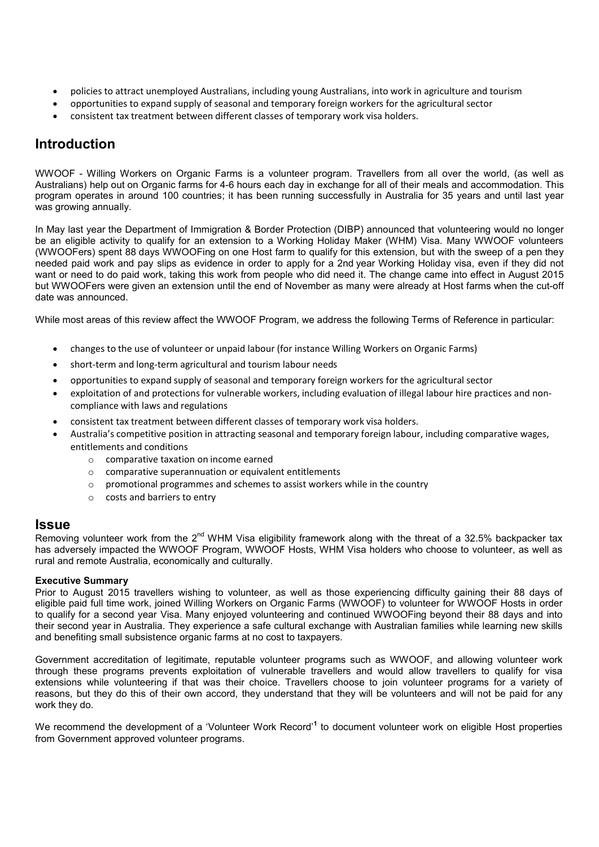- policies to attract unemployed Australians, including young Australians, into work in agriculture and tourism
- opportunities to expand supply of seasonal and temporary foreign workers for the agricultural sector
- consistent tax treatment between different classes of temporary work visa holders.

## **Introduction**

WWOOF - Willing Workers on Organic Farms is a volunteer program. Travellers from all over the world, (as well as Australians) help out on Organic farms for 4-6 hours each day in exchange for all of their meals and accommodation. This program operates in around 100 countries; it has been running successfully in Australia for 35 years and until last year was growing annually.

In May last year the Department of Immigration & Border Protection (DIBP) announced that volunteering would no longer be an eligible activity to qualify for an extension to a Working Holiday Maker (WHM) Visa. Many WWOOF volunteers (WWOOFers) spent 88 days WWOOFing on one Host farm to qualify for this extension, but with the sweep of a pen they needed paid work and pay slips as evidence in order to apply for a 2nd year Working Holiday visa, even if they did not want or need to do paid work, taking this work from people who did need it. The change came into effect in August 2015 but WWOOFers were given an extension until the end of November as many were already at Host farms when the cut-off date was announced.

While most areas of this review affect the WWOOF Program, we address the following Terms of Reference in particular:

- changes to the use of volunteer or unpaid labour (for instance Willing Workers on Organic Farms)
- short-term and long-term agricultural and tourism labour needs
- opportunities to expand supply of seasonal and temporary foreign workers for the agricultural sector
- exploitation of and protections for vulnerable workers, including evaluation of illegal labour hire practices and noncompliance with laws and regulations
- consistent tax treatment between different classes of temporary work visa holders.
- Australia's competitive position in attracting seasonal and temporary foreign labour, including comparative wages, entitlements and conditions
	- o comparative taxation on income earned
	- o comparative superannuation or equivalent entitlements
	- o promotional programmes and schemes to assist workers while in the country
	- o costs and barriers to entry

### **Issue**

Removing volunteer work from the  $2^{nd}$  WHM Visa eligibility framework along with the threat of a 32.5% backpacker tax has adversely impacted the WWOOF Program, WWOOF Hosts, WHM Visa holders who choose to volunteer, as well as rural and remote Australia, economically and culturally.

#### **Executive Summary**

Prior to August 2015 travellers wishing to volunteer, as well as those experiencing difficulty gaining their 88 days of eligible paid full time work, joined Willing Workers on Organic Farms (WWOOF) to volunteer for WWOOF Hosts in order to qualify for a second year Visa. Many enjoyed volunteering and continued WWOOFing beyond their 88 days and into their second year in Australia. They experience a safe cultural exchange with Australian families while learning new skills and benefiting small subsistence organic farms at no cost to taxpayers.

Government accreditation of legitimate, reputable volunteer programs such as WWOOF, and allowing volunteer work through these programs prevents exploitation of vulnerable travellers and would allow travellers to qualify for visa extensions while volunteering if that was their choice. Travellers choose to join volunteer programs for a variety of reasons, but they do this of their own accord, they understand that they will be volunteers and will not be paid for any work they do.

We recommend the development of a 'Volunteer Work Record'**<sup>1</sup>** to document volunteer work on eligible Host properties from Government approved volunteer programs.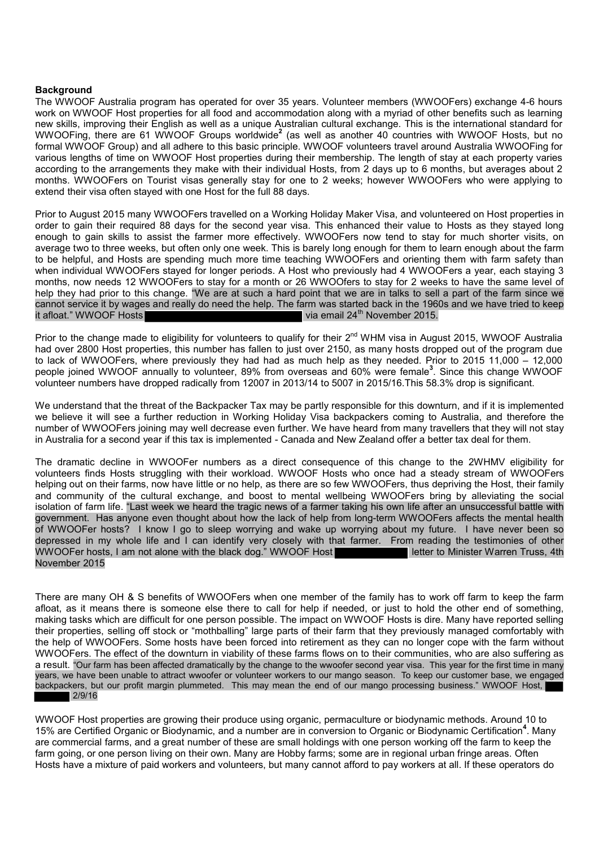#### **Background**

The WWOOF Australia program has operated for over 35 years. Volunteer members (WWOOFers) exchange 4-6 hours work on WWOOF Host properties for all food and accommodation along with a myriad of other benefits such as learning new skills, improving their English as well as a unique Australian cultural exchange. This is the international standard for WWOOFing, there are 61 WWOOF Groups worldwide**<sup>2</sup>** (as well as another 40 countries with WWOOF Hosts, but no formal WWOOF Group) and all adhere to this basic principle. WWOOF volunteers travel around Australia WWOOFing for various lengths of time on WWOOF Host properties during their membership. The length of stay at each property varies according to the arrangements they make with their individual Hosts, from 2 days up to 6 months, but averages about 2 months. WWOOFers on Tourist visas generally stay for one to 2 weeks; however WWOOFers who were applying to extend their visa often stayed with one Host for the full 88 days.

Prior to August 2015 many WWOOFers travelled on a Working Holiday Maker Visa, and volunteered on Host properties in order to gain their required 88 days for the second year visa. This enhanced their value to Hosts as they stayed long enough to gain skills to assist the farmer more effectively. WWOOFers now tend to stay for much shorter visits, on average two to three weeks, but often only one week. This is barely long enough for them to learn enough about the farm to be helpful, and Hosts are spending much more time teaching WWOOFers and orienting them with farm safety than when individual WWOOFers stayed for longer periods. A Host who previously had 4 WWOOFers a year, each staying 3 months, now needs 12 WWOOFers to stay for a month or 26 WWOOfers to stay for 2 weeks to have the same level of help they had prior to this change. "We are at such a hard point that we are in talks to sell a part of the farm since we cannot service it by wages and really do need the help. The farm was started back in the 1960s and we have tried to keep it afloat." WWOOF Hosts via email  $24^{th}$  November 2015.

Prior to the change made to eligibility for volunteers to qualify for their 2<sup>nd</sup> WHM visa in August 2015, WWOOF Australia had over 2800 Host properties, this number has fallen to just over 2150, as many hosts dropped out of the program due to lack of WWOOFers, where previously they had had as much help as they needed. Prior to 2015 11,000 – 12,000 people joined WWOOF annually to volunteer, 89% from overseas and 60% were female**<sup>3</sup>** . Since this change WWOOF volunteer numbers have dropped radically from 12007 in 2013/14 to 5007 in 2015/16.This 58.3% drop is significant.

We understand that the threat of the Backpacker Tax may be partly responsible for this downturn, and if it is implemented we believe it will see a further reduction in Working Holiday Visa backpackers coming to Australia, and therefore the number of WWOOFers joining may well decrease even further. We have heard from many travellers that they will not stay in Australia for a second year if this tax is implemented - Canada and New Zealand offer a better tax deal for them.

The dramatic decline in WWOOFer numbers as a direct consequence of this change to the 2WHMV eligibility for volunteers finds Hosts struggling with their workload. WWOOF Hosts who once had a steady stream of WWOOFers helping out on their farms, now have little or no help, as there are so few WWOOFers, thus depriving the Host, their family and community of the cultural exchange, and boost to mental wellbeing WWOOFers bring by alleviating the social isolation of farm life. "Last week we heard the tragic news of a farmer taking his own life after an unsuccessful battle with government. Has anyone even thought about how the lack of help from long-term WWOOFers affects the mental health of WWOOFer hosts? I know I go to sleep worrying and wake up worrying about my future. I have never been so depressed in my whole life and I can identify very closely with that farmer. From reading the testimonies of other WWOOFer hosts, I am not alone with the black dog." WWOOF Host letter to Minister Warren Truss, 4th November 2015

There are many OH & S benefits of WWOOFers when one member of the family has to work off farm to keep the farm afloat, as it means there is someone else there to call for help if needed, or just to hold the other end of something, making tasks which are difficult for one person possible. The impact on WWOOF Hosts is dire. Many have reported selling their properties, selling off stock or "mothballing" large parts of their farm that they previously managed comfortably with the help of WWOOFers. Some hosts have been forced into retirement as they can no longer cope with the farm without WWOOFers. The effect of the downturn in viability of these farms flows on to their communities, who are also suffering as a result. "Our farm has been affected dramatically by the change to the wwoofer second year visa. This year for the first time in many years, we have been unable to attract wwoofer or volunteer workers to our mango season. To keep our customer base, we engaged backpackers, but our profit margin plummeted. This may mean the end of our mango processing business." WWOOF Host, 2/9/16

WWOOF Host properties are growing their produce using organic, permaculture or biodynamic methods. Around 10 to 15% are Certified Organic or Biodynamic, and a number are in conversion to Organic or Biodynamic Certification**<sup>4</sup>** . Many are commercial farms, and a great number of these are small holdings with one person working off the farm to keep the farm going, or one person living on their own. Many are Hobby farms; some are in regional urban fringe areas. Often Hosts have a mixture of paid workers and volunteers, but many cannot afford to pay workers at all. If these operators do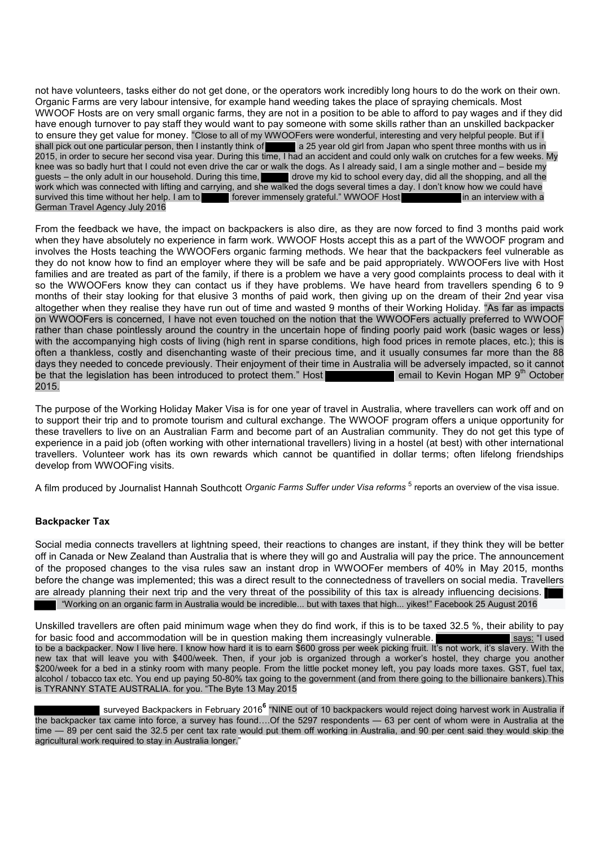not have volunteers, tasks either do not get done, or the operators work incredibly long hours to do the work on their own. Organic Farms are very labour intensive, for example hand weeding takes the place of spraying chemicals. Most WWOOF Hosts are on very small organic farms, they are not in a position to be able to afford to pay wages and if they did have enough turnover to pay staff they would want to pay someone with some skills rather than an unskilled backpacker to ensure they get value for money. "Close to all of my WWOOFers were wonderful, interesting and very helpful people. But if I shall pick out one particular person, then I instantly think of a 25 year old girl from Japan who spent three months with us in 2015, in order to secure her second visa year. During this time, I had an accident and could only walk on crutches for a few weeks. My knee was so badly hurt that I could not even drive the car or walk the dogs. As I already said, I am a single mother and – beside my guests – the only adult in our household. During this time, and alrowe my kid to school e drove my kid to school every day, did all the shopping, and all the work which was connected with lifting and carrying, and she walked the dogs several times a day. I don't know how we could have survived this time without her help. I am to forever immensely grateful." WWOOF Host in an interview with a German Travel Agency July 2016

From the feedback we have, the impact on backpackers is also dire, as they are now forced to find 3 months paid work when they have absolutely no experience in farm work. WWOOF Hosts accept this as a part of the WWOOF program and involves the Hosts teaching the WWOOFers organic farming methods. We hear that the backpackers feel vulnerable as they do not know how to find an employer where they will be safe and be paid appropriately. WWOOFers live with Host families and are treated as part of the family, if there is a problem we have a very good complaints process to deal with it so the WWOOFers know they can contact us if they have problems. We have heard from travellers spending 6 to 9 months of their stay looking for that elusive 3 months of paid work, then giving up on the dream of their 2nd year visa altogether when they realise they have run out of time and wasted 9 months of their Working Holiday. "As far as impacts on WWOOFers is concerned, I have not even touched on the notion that the WWOOFers actually preferred to WWOOF rather than chase pointlessly around the country in the uncertain hope of finding poorly paid work (basic wages or less) with the accompanying high costs of living (high rent in sparse conditions, high food prices in remote places, etc.); this is often a thankless, costly and disenchanting waste of their precious time, and it usually consumes far more than the 88 days they needed to concede previously. Their enjoyment of their time in Australia will be adversely impacted, so it cannot<br>be that the legislation has been introduced to protect them." Host **the contract of the set of the** be that the legislation has been introduced to protect them." Host 2015.

The purpose of the Working Holiday Maker Visa is for one year of travel in Australia, where travellers can work off and on to support their trip and to promote tourism and cultural exchange. The WWOOF program offers a unique opportunity for these travellers to live on an Australian Farm and become part of an Australian community. They do not get this type of experience in a paid job (often working with other international travellers) living in a hostel (at best) with other international travellers. Volunteer work has its own rewards which cannot be quantified in dollar terms; often lifelong friendships develop from WWOOFing visits.

A film produced by Journalist Hannah Southcott *Organic Farms Suffer under Visa reforms*<sup>5</sup> reports an overview of the visa issue.

#### **Backpacker Tax**

Social media connects travellers at lightning speed, their reactions to changes are instant, if they think they will be better off in Canada or New Zealand than Australia that is where they will go and Australia will pay the price. The announcement of the proposed changes to the visa rules saw an instant drop in WWOOFer members of 40% in May 2015, months before the change was implemented; this was a direct result to the connectedness of travellers on social media. Travellers are already planning their next trip and the very threat of the possibility of this tax is already influencing decisions. "Working on an organic farm in Australia would be incredible... but with taxes that high... yikes!" Facebook 25 August 2016

Unskilled travellers are often paid minimum wage when they do find work, if this is to be taxed 32.5 %, their ability to pay for basic food and accommodation will be in question making them increasingly vulnerable. to be a backpacker. Now I live here. I know how hard it is to earn \$600 gross per week picking fruit. It's not work, it's slavery. With the new tax that will leave you with \$400/week. Then, if your job is organized through a worker's hostel, they charge you another \$200/week for a bed in a stinky room with many people. From the little pocket money left, you pay loads more taxes. GST, fuel tax, alcohol / tobacco tax etc. You end up paying 50-80% tax going to the government (and from there going to the billionaire bankers).This is TYRANNY STATE AUSTRALIA. for you. "The Byte 13 May 2015

 surveyed Backpackers in February 2016**<sup>6</sup>** "NINE out of 10 backpackers would reject doing harvest work in Australia if the backpacker tax came into force, a survey has found….Of the 5297 respondents — 63 per cent of whom were in Australia at the time — 89 per cent said the 32.5 per cent tax rate would put them off working in Australia, and 90 per cent said they would skip the agricultural work required to stay in Australia longer."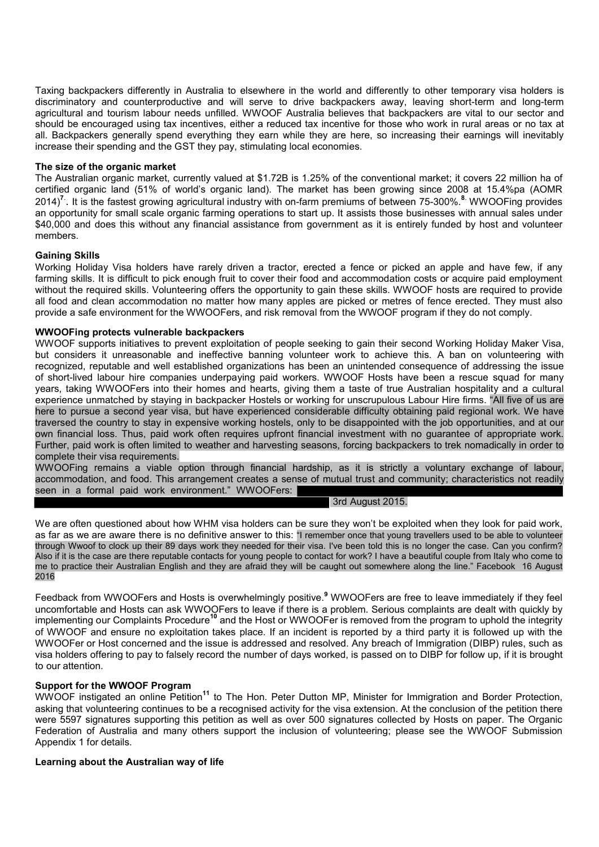Taxing backpackers differently in Australia to elsewhere in the world and differently to other temporary visa holders is discriminatory and counterproductive and will serve to drive backpackers away, leaving short-term and long-term agricultural and tourism labour needs unfilled. WWOOF Australia believes that backpackers are vital to our sector and should be encouraged using tax incentives, either a reduced tax incentive for those who work in rural areas or no tax at all. Backpackers generally spend everything they earn while they are here, so increasing their earnings will inevitably increase their spending and the GST they pay, stimulating local economies.

#### **The size of the organic market**

The Australian organic market, currently valued at \$1.72B is 1.25% of the conventional market; it covers 22 million ha of certified organic land (51% of world's organic land). The market has been growing since 2008 at 15.4%pa (AOMR 2014)**<sup>7</sup>**. . It is the fastest growing agricultural industry with on-farm premiums of between 75-300%.**<sup>8</sup>**. WWOOFing provides an opportunity for small scale organic farming operations to start up. It assists those businesses with annual sales under \$40,000 and does this without any financial assistance from government as it is entirely funded by host and volunteer members.

#### **Gaining Skills**

Working Holiday Visa holders have rarely driven a tractor, erected a fence or picked an apple and have few, if any farming skills. It is difficult to pick enough fruit to cover their food and accommodation costs or acquire paid employment without the required skills. Volunteering offers the opportunity to gain these skills. WWOOF hosts are required to provide all food and clean accommodation no matter how many apples are picked or metres of fence erected. They must also provide a safe environment for the WWOOFers, and risk removal from the WWOOF program if they do not comply.

#### **WWOOFing protects vulnerable backpackers**

WWOOF supports initiatives to prevent exploitation of people seeking to gain their second Working Holiday Maker Visa, but considers it unreasonable and ineffective banning volunteer work to achieve this. A ban on volunteering with recognized, reputable and well established organizations has been an unintended consequence of addressing the issue of short-lived labour hire companies underpaying paid workers. WWOOF Hosts have been a rescue squad for many years, taking WWOOFers into their homes and hearts, giving them a taste of true Australian hospitality and a cultural experience unmatched by staying in backpacker Hostels or working for unscrupulous Labour Hire firms. "All five of us are here to pursue a second year visa, but have experienced considerable difficulty obtaining paid regional work. We have traversed the country to stay in expensive working hostels, only to be disappointed with the job opportunities, and at our own financial loss. Thus, paid work often requires upfront financial investment with no guarantee of appropriate work. Further, paid work is often limited to weather and harvesting seasons, forcing backpackers to trek nomadically in order to complete their visa requirements.

WWOOFing remains a viable option through financial hardship, as it is strictly a voluntary exchange of labour, accommodation, and food. This arrangement creates a sense of mutual trust and community; characteristics not readily seen in a formal paid work environment." WWOOFers:

#### 3rd August 2015.

We are often questioned about how WHM visa holders can be sure they won't be exploited when they look for paid work, as far as we are aware there is no definitive answer to this: "I remember once that young travellers used to be able to volunteer through Wwoof to clock up their 89 days work they needed for their visa. I've been told this is no longer the case. Can you confirm? Also if it is the case are there reputable contacts for young people to contact for work? I have a beautiful couple from Italy who come to me to practice their Australian English and they are afraid they will be caught out somewhere along the line." Facebook 16 August 2016

Feedback from WWOOFers and Hosts is overwhelmingly positive.**<sup>9</sup>** WWOOFers are free to leave immediately if they feel uncomfortable and Hosts can ask WWOOFers to leave if there is a problem. Serious complaints are dealt with quickly by implementing our Complaints Procedure<sup>10</sup> and the Host or WWOOFer is removed from the program to uphold the integrity of WWOOF and ensure no exploitation takes place. If an incident is reported by a third party it is followed up with the WWOOFer or Host concerned and the issue is addressed and resolved. Any breach of Immigration (DIBP) rules, such as visa holders offering to pay to falsely record the number of days worked, is passed on to DIBP for follow up, if it is brought to our attention.

#### **Support for the WWOOF Program**

WWOOF instigated an online Petition<sup>11</sup> to The Hon. Peter Dutton MP, Minister for Immigration and Border Protection, asking that volunteering continues to be a recognised activity for the visa extension. At the conclusion of the petition there were 5597 signatures supporting this petition as well as over 500 signatures collected by Hosts on paper. The Organic Federation of Australia and many others support the inclusion of volunteering; please see the WWOOF Submission Appendix 1 for details.

#### **Learning about the Australian way of life**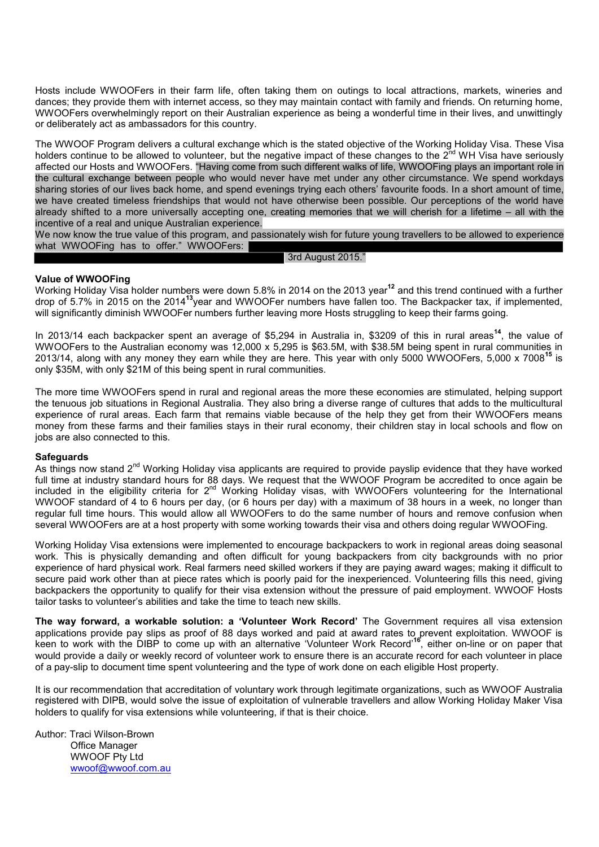Hosts include WWOOFers in their farm life, often taking them on outings to local attractions, markets, wineries and dances; they provide them with internet access, so they may maintain contact with family and friends. On returning home, WWOOFers overwhelmingly report on their Australian experience as being a wonderful time in their lives, and unwittingly or deliberately act as ambassadors for this country.

The WWOOF Program delivers a cultural exchange which is the stated objective of the Working Holiday Visa. These Visa holders continue to be allowed to volunteer, but the negative impact of these changes to the  $2^{nd}$  WH Visa have seriously affected our Hosts and WWOOFers. "Having come from such different walks of life, WWOOFing plays an important role in the cultural exchange between people who would never have met under any other circumstance. We spend workdays sharing stories of our lives back home, and spend evenings trying each others' favourite foods. In a short amount of time, we have created timeless friendships that would not have otherwise been possible. Our perceptions of the world have already shifted to a more universally accepting one, creating memories that we will cherish for a lifetime – all with the incentive of a real and unique Australian experience.

We now know the true value of this program, and passionately wish for future young travellers to be allowed to experience what WWOOFing has to offer." WWOOFers:

3rd August 2015."

#### **Value of WWOOFing**

Working Holiday Visa holder numbers were down 5.8% in 2014 on the 2013 year**<sup>12</sup>** and this trend continued with a further drop of 5.7% in 2015 on the 2014**<sup>13</sup>**year and WWOOFer numbers have fallen too. The Backpacker tax, if implemented, will significantly diminish WWOOFer numbers further leaving more Hosts struggling to keep their farms going.

In 2013/14 each backpacker spent an average of \$5,294 in Australia in, \$3209 of this in rural areas**<sup>14</sup>**, the value of WWOOFers to the Australian economy was 12,000 x 5,295 is \$63.5M, with \$38.5M being spent in rural communities in 2013/14, along with any money they earn while they are here. This year with only 5000 WWOOFers, 5,000 x 7008**<sup>15</sup>** is only \$35M, with only \$21M of this being spent in rural communities.

The more time WWOOFers spend in rural and regional areas the more these economies are stimulated, helping support the tenuous job situations in Regional Australia. They also bring a diverse range of cultures that adds to the multicultural experience of rural areas. Each farm that remains viable because of the help they get from their WWOOFers means money from these farms and their families stays in their rural economy, their children stay in local schools and flow on jobs are also connected to this.

#### **Safeguards**

As things now stand 2<sup>nd</sup> Working Holiday visa applicants are required to provide payslip evidence that they have worked full time at industry standard hours for 88 days. We request that the WWOOF Program be accredited to once again be included in the eligibility criteria for 2<sup>nd</sup> Working Holiday visas, with WWOOFers volunteering for the International WWOOF standard of 4 to 6 hours per day, (or 6 hours per day) with a maximum of 38 hours in a week, no longer than regular full time hours. This would allow all WWOOFers to do the same number of hours and remove confusion when several WWOOFers are at a host property with some working towards their visa and others doing regular WWOOFing.

Working Holiday Visa extensions were implemented to encourage backpackers to work in regional areas doing seasonal work. This is physically demanding and often difficult for young backpackers from city backgrounds with no prior experience of hard physical work. Real farmers need skilled workers if they are paying award wages; making it difficult to secure paid work other than at piece rates which is poorly paid for the inexperienced. Volunteering fills this need, giving backpackers the opportunity to qualify for their visa extension without the pressure of paid employment. WWOOF Hosts tailor tasks to volunteer's abilities and take the time to teach new skills.

**The way forward, a workable solution: a 'Volunteer Work Record'** The Government requires all visa extension applications provide pay slips as proof of 88 days worked and paid at award rates to prevent exploitation. WWOOF is keen to work with the DIBP to come up with an alternative 'Volunteer Work Record'**<sup>16</sup>**, either on-line or on paper that would provide a daily or weekly record of volunteer work to ensure there is an accurate record for each volunteer in place of a pay-slip to document time spent volunteering and the type of work done on each eligible Host property.

It is our recommendation that accreditation of voluntary work through legitimate organizations, such as WWOOF Australia registered with DIPB, would solve the issue of exploitation of vulnerable travellers and allow Working Holiday Maker Visa holders to qualify for visa extensions while volunteering, if that is their choice.

Author: Traci Wilson-Brown Office Manager WWOOF Pty Ltd wwoof@wwoof.com.au